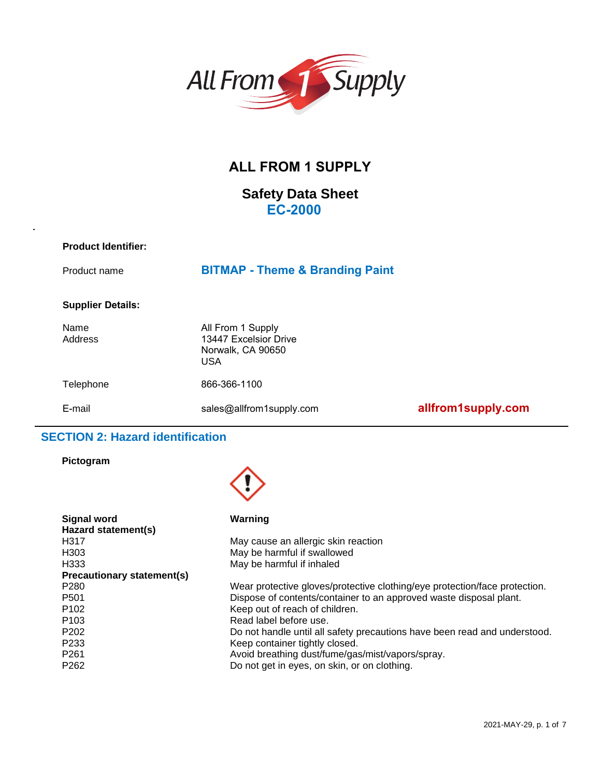

# **ALL FROM 1 SUPPLY**

# **Safety Data Sheet EC-2000**

| <b>Product Identifier:</b> |                                                                        |
|----------------------------|------------------------------------------------------------------------|
| Product name               | <b>BITMAP - Theme &amp; Branding Paint</b>                             |
| <b>Supplier Details:</b>   |                                                                        |
| Name<br>Address            | All From 1 Supply<br>13447 Excelsior Drive<br>Norwalk, CA 90650<br>USA |

Telephone 866-366-1100

E-mail sales[@allfrom1supply.com](mailto:office@premierfinishes.net) **allfrom1supply.com**

# **SECTION 2: Hazard identification**

### **Pictogram**



| Signal word                       | Warning                                                                    |
|-----------------------------------|----------------------------------------------------------------------------|
| Hazard statement(s)               |                                                                            |
| H <sub>3</sub> 17                 | May cause an allergic skin reaction                                        |
| H <sub>303</sub>                  | May be harmful if swallowed                                                |
| H333                              | May be harmful if inhaled                                                  |
| <b>Precautionary statement(s)</b> |                                                                            |
| P <sub>280</sub>                  | Wear protective gloves/protective clothing/eye protection/face protection. |
| P <sub>501</sub>                  | Dispose of contents/container to an approved waste disposal plant.         |
| P <sub>102</sub>                  | Keep out of reach of children.                                             |
| P <sub>103</sub>                  | Read label before use.                                                     |
| P <sub>202</sub>                  | Do not handle until all safety precautions have been read and understood.  |
| P <sub>233</sub>                  | Keep container tightly closed.                                             |
| P <sub>261</sub>                  | Avoid breathing dust/fume/gas/mist/vapors/spray.                           |
| P <sub>262</sub>                  | Do not get in eyes, on skin, or on clothing.                               |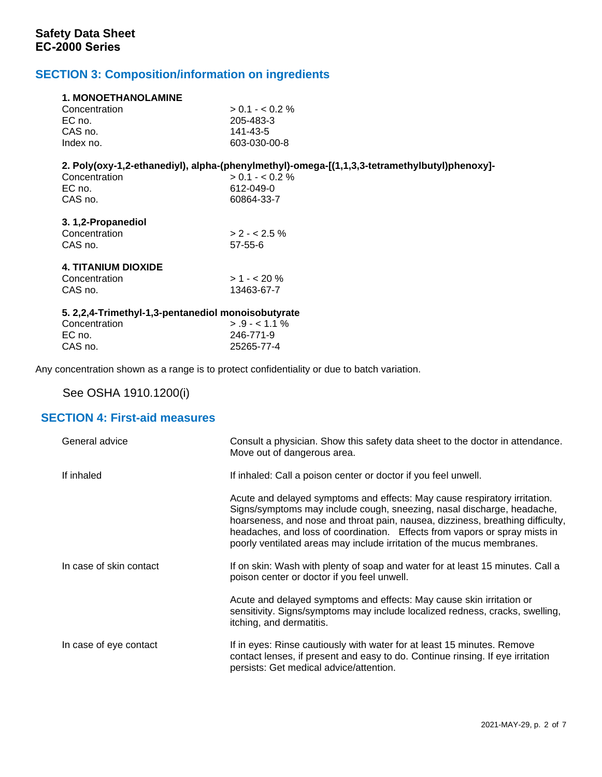# **SECTION 3: Composition/information on ingredients**

| <b>1. MONOETHANOLAMINE</b>                             |                                                                                              |
|--------------------------------------------------------|----------------------------------------------------------------------------------------------|
| Concentration                                          | $> 0.1 - < 0.2 \%$                                                                           |
| EC no.                                                 | 205-483-3                                                                                    |
| CAS no.                                                | 141-43-5                                                                                     |
| Index no.                                              | 603-030-00-8                                                                                 |
|                                                        | 2. Poly(oxy-1,2-ethanediyl), alpha-(phenylmethyl)-omega-[(1,1,3,3-tetramethylbutyl)phenoxy]- |
| Concentration                                          | $> 0.1 - < 0.2 \%$                                                                           |
| EC no.                                                 | 612-049-0                                                                                    |
| CAS no.                                                | 60864-33-7                                                                                   |
| 3.1,2-Propanediol                                      |                                                                                              |
| Concentration                                          | $> 2 - 2.5\%$                                                                                |
| CAS no.                                                | $57 - 55 - 6$                                                                                |
| <b>4. TITANIUM DIOXIDE</b>                             |                                                                                              |
| Concentration                                          | $>1 - 20%$                                                                                   |
| CAS no.                                                | 13463-67-7                                                                                   |
| 5. 2, 2, 4- Trimethyl-1, 3-pentanediol monoisobutyrate |                                                                                              |
| Concentration                                          | $> .9 - < 1.1 \%$                                                                            |
| EC no.                                                 | 246-771-9                                                                                    |
| CAS no.                                                | 25265-77-4                                                                                   |

Any concentration shown as a range is to protect confidentiality or due to batch variation.

See OSHA 1910.1200(i)

# **SECTION 4: First-aid measures**

| General advice          | Consult a physician. Show this safety data sheet to the doctor in attendance.<br>Move out of dangerous area.                                                                                                                                                                                                                                                                                  |
|-------------------------|-----------------------------------------------------------------------------------------------------------------------------------------------------------------------------------------------------------------------------------------------------------------------------------------------------------------------------------------------------------------------------------------------|
| If inhaled              | If inhaled: Call a poison center or doctor if you feel unwell.                                                                                                                                                                                                                                                                                                                                |
|                         | Acute and delayed symptoms and effects: May cause respiratory irritation.<br>Signs/symptoms may include cough, sneezing, nasal discharge, headache,<br>hoarseness, and nose and throat pain, nausea, dizziness, breathing difficulty,<br>headaches, and loss of coordination. Effects from vapors or spray mists in<br>poorly ventilated areas may include irritation of the mucus membranes. |
| In case of skin contact | If on skin: Wash with plenty of soap and water for at least 15 minutes. Call a<br>poison center or doctor if you feel unwell.                                                                                                                                                                                                                                                                 |
|                         | Acute and delayed symptoms and effects: May cause skin irritation or<br>sensitivity. Signs/symptoms may include localized redness, cracks, swelling,<br>itching, and dermatitis.                                                                                                                                                                                                              |
| In case of eye contact  | If in eyes: Rinse cautiously with water for at least 15 minutes. Remove<br>contact lenses, if present and easy to do. Continue rinsing. If eye irritation<br>persists: Get medical advice/attention.                                                                                                                                                                                          |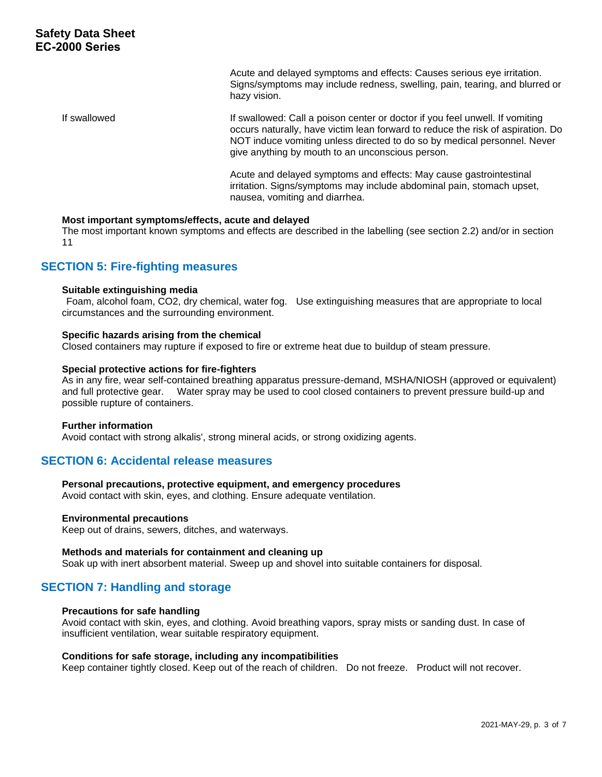Acute and delayed symptoms and effects: Causes serious eye irritation. Signs/symptoms may include redness, swelling, pain, tearing, and blurred or hazy vision.

If swallowed If swallowed: Call a poison center or doctor if you feel unwell. If vomiting occurs naturally, have victim lean forward to reduce the risk of aspiration. Do NOT induce vomiting unless directed to do so by medical personnel. Never give anything by mouth to an unconscious person.

> Acute and delayed symptoms and effects: May cause gastrointestinal irritation. Signs/symptoms may include abdominal pain, stomach upset, nausea, vomiting and diarrhea.

### **Most important symptoms/effects, acute and delayed**

The most important known symptoms and effects are described in the labelling (see section 2.2) and/or in section 11

### **SECTION 5: Fire-fighting measures**

### **Suitable extinguishing media**

Foam, alcohol foam, CO2, dry chemical, water fog. Use extinguishing measures that are appropriate to local circumstances and the surrounding environment.

### **Specific hazards arising from the chemical**

Closed containers may rupture if exposed to fire or extreme heat due to buildup of steam pressure.

### **Special protective actions for fire-fighters**

As in any fire, wear self-contained breathing apparatus pressure-demand, MSHA/NIOSH (approved or equivalent) and full protective gear. Water spray may be used to cool closed containers to prevent pressure build-up and possible rupture of containers.

### **Further information**

Avoid contact with strong alkalis', strong mineral acids, or strong oxidizing agents.

### **SECTION 6: Accidental release measures**

### **Personal precautions, protective equipment, and emergency procedures**

Avoid contact with skin, eyes, and clothing. Ensure adequate ventilation.

### **Environmental precautions**

Keep out of drains, sewers, ditches, and waterways.

### **Methods and materials for containment and cleaning up**

Soak up with inert absorbent material. Sweep up and shovel into suitable containers for disposal.

### **SECTION 7: Handling and storage**

### **Precautions for safe handling**

Avoid contact with skin, eyes, and clothing. Avoid breathing vapors, spray mists or sanding dust. In case of insufficient ventilation, wear suitable respiratory equipment.

### **Conditions for safe storage, including any incompatibilities**

Keep container tightly closed. Keep out of the reach of children. Do not freeze. Product will not recover.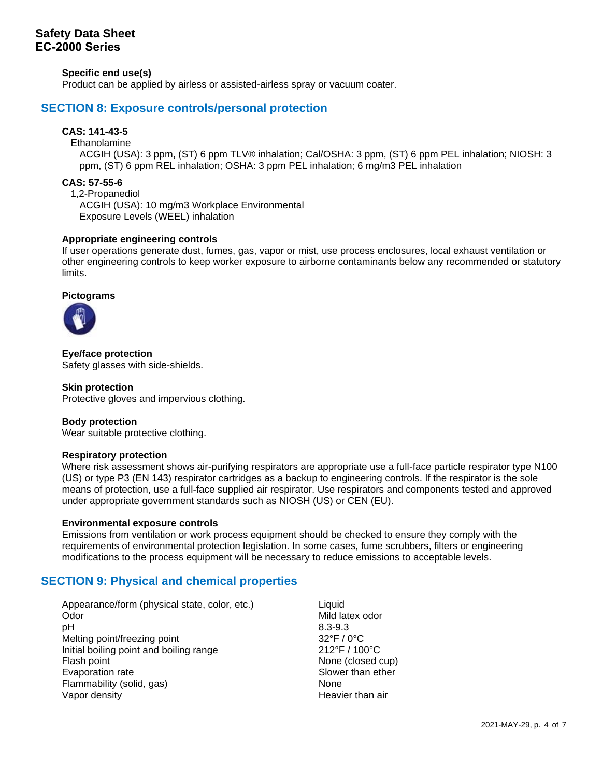# **Safety Data Sheet EC-2000 Series**

**Specific end use(s)**

Product can be applied by airless or assisted-airless spray or vacuum coater.

## **SECTION 8: Exposure controls/personal protection**

### **CAS: 141-43-5**

#### Ethanolamine

ACGIH (USA): 3 ppm, (ST) 6 ppm TLV® inhalation; Cal/OSHA: 3 ppm, (ST) 6 ppm PEL inhalation; NIOSH: 3 ppm, (ST) 6 ppm REL inhalation; OSHA: 3 ppm PEL inhalation; 6 mg/m3 PEL inhalation

### **CAS: 57-55-6**

1,2-Propanediol ACGIH (USA): 10 mg/m3 Workplace Environmental Exposure Levels (WEEL) inhalation

### **Appropriate engineering controls**

If user operations generate dust, fumes, gas, vapor or mist, use process enclosures, local exhaust ventilation or other engineering controls to keep worker exposure to airborne contaminants below any recommended or statutory limits.

### **Pictograms**



**Eye/face protection** Safety glasses with side-shields.

### **Skin protection**

Protective gloves and impervious clothing.

### **Body protection**

Wear suitable protective clothing.

### **Respiratory protection**

Where risk assessment shows air-purifying respirators are appropriate use a full-face particle respirator type N100 (US) or type P3 (EN 143) respirator cartridges as a backup to engineering controls. If the respirator is the sole means of protection, use a full-face supplied air respirator. Use respirators and components tested and approved under appropriate government standards such as NIOSH (US) or CEN (EU).

### **Environmental exposure controls**

Emissions from ventilation or work process equipment should be checked to ensure they comply with the requirements of environmental protection legislation. In some cases, fume scrubbers, filters or engineering modifications to the process equipment will be necessary to reduce emissions to acceptable levels.

## **SECTION 9: Physical and chemical properties**

Appearance/form (physical state, color, etc.) Liquid Odor **Mild latex odor** Mild latex odor pH 8.3-9.3 Melting point/freezing point 32°F / 0°C Initial boiling point and boiling range 212°F / 100°C Flash point **None (closed cup)** None (closed cup) Evaporation rate Slower than ether Slower than ether Flammability (solid, gas) None Vapor density **Heavier than air**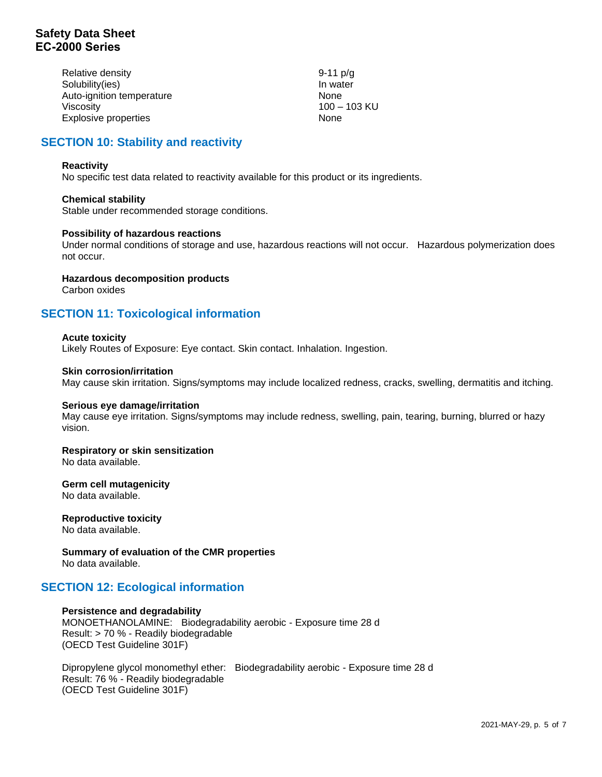# **Safety Data Sheet EC-2000 Series**

| Relative density          | 9-11 $p/q$   |
|---------------------------|--------------|
| Solubility(ies)           | In water     |
| Auto-ignition temperature | None         |
| Viscosity                 | 100 - 103 KU |
| Explosive properties      | None         |

# **SECTION 10: Stability and reactivity**

### **Reactivity**

No specific test data related to reactivity available for this product or its ingredients.

### **Chemical stability**

Stable under recommended storage conditions.

### **Possibility of hazardous reactions**

Under normal conditions of storage and use, hazardous reactions will not occur. Hazardous polymerization does not occur.

**Hazardous decomposition products**

Carbon oxides

# **SECTION 11: Toxicological information**

### **Acute toxicity**

Likely Routes of Exposure: Eye contact. Skin contact. Inhalation. Ingestion.

### **Skin corrosion/irritation**

May cause skin irritation. Signs/symptoms may include localized redness, cracks, swelling, dermatitis and itching.

### **Serious eye damage/irritation**

May cause eye irritation. Signs/symptoms may include redness, swelling, pain, tearing, burning, blurred or hazy vision.

# **Respiratory or skin sensitization**

No data available.

### **Germ cell mutagenicity** No data available.

#### **Reproductive toxicity** No data available.

**Summary of evaluation of the CMR properties** No data available.

## **SECTION 12: Ecological information**

### **Persistence and degradability**

MONOETHANOLAMINE: Biodegradability aerobic - Exposure time 28 d Result: > 70 % - Readily biodegradable (OECD Test Guideline 301F)

Dipropylene glycol monomethyl ether: Biodegradability aerobic - Exposure time 28 d Result: 76 % - Readily biodegradable (OECD Test Guideline 301F)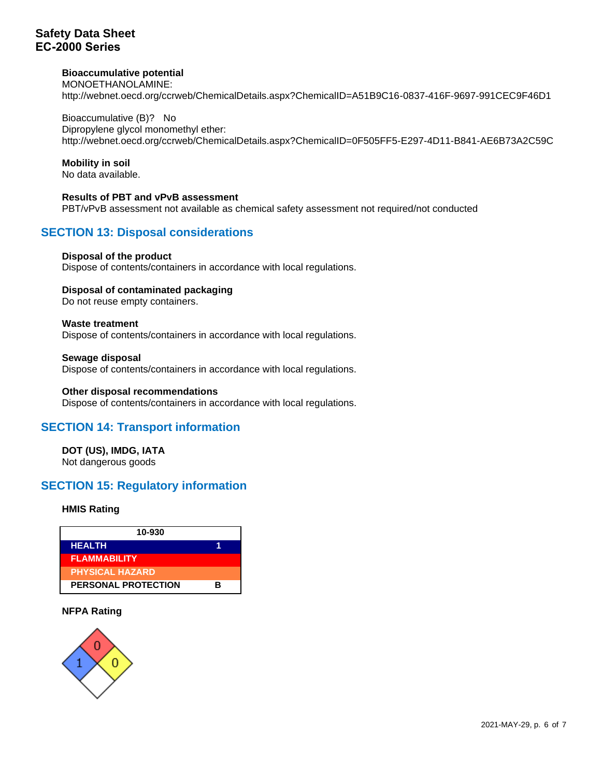# **Safety Data Sheet EC-2000 Series**

### **Bioaccumulative potential**

MONOETHANOLAMINE: http://webnet.oecd.org/ccrweb/ChemicalDetails.aspx?ChemicalID=A51B9C16-0837-416F-9697-991CEC9F46D1

Bioaccumulative (B)? No Dipropylene glycol monomethyl ether: http://webnet.oecd.org/ccrweb/ChemicalDetails.aspx?ChemicalID=0F505FF5-E297-4D11-B841-AE6B73A2C59C

### **Mobility in soil**

No data available.

**Results of PBT and vPvB assessment** PBT/vPvB assessment not available as chemical safety assessment not required/not conducted

# **SECTION 13: Disposal considerations**

### **Disposal of the product**

Dispose of contents/containers in accordance with local regulations.

### **Disposal of contaminated packaging**

Do not reuse empty containers.

### **Waste treatment**

Dispose of contents/containers in accordance with local regulations.

### **Sewage disposal**

Dispose of contents/containers in accordance with local regulations.

### **Other disposal recommendations**

Dispose of contents/containers in accordance with local regulations.

## **SECTION 14: Transport information**

**DOT (US), IMDG, IATA** Not dangerous goods

# **SECTION 15: Regulatory information**

### **HMIS Rating**



### **NFPA Rating**